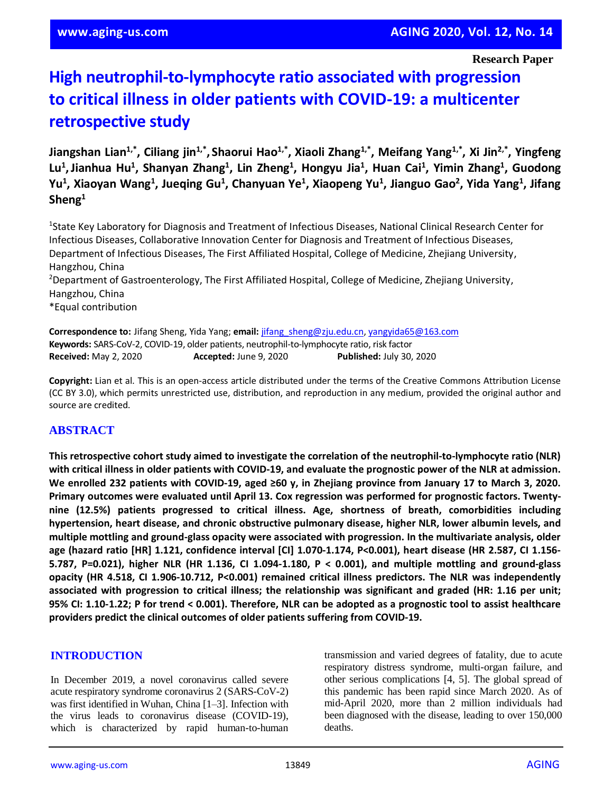**Research Paper**

# **High neutrophil-to-lymphocyte ratio associated with progression to critical illness in older patients with COVID-19: a multicenter retrospective study**

Jiangshan Lian<sup>1,\*</sup>, Ciliang jin<sup>1,\*</sup>, Shaorui Hao<sup>1,\*</sup>, Xiaoli Zhang<sup>1,\*</sup>, Meifang Yang<sup>1,\*</sup>, Xi Jin<sup>2,\*</sup>, Yingfeng Lu<sup>1</sup>, Jianhua Hu<sup>1</sup>, Shanyan Zhang<sup>1</sup>, Lin Zheng<sup>1</sup>, Hongyu Jia<sup>1</sup>, Huan Cai<sup>1</sup>, Yimin Zhang<sup>1</sup>, Guodong Yu<sup>1</sup>, Xiaoyan Wang<sup>1</sup>, Jueqing Gu<sup>1</sup>, Chanyuan Ye<sup>1</sup>, Xiaopeng Yu<sup>1</sup>, Jianguo Gao<sup>2</sup>, Yida Yang<sup>1</sup>, Jifang **Sheng<sup>1</sup>**

<sup>1</sup>State Key Laboratory for Diagnosis and Treatment of Infectious Diseases, National Clinical Research Center for Infectious Diseases, Collaborative Innovation Center for Diagnosis and Treatment of Infectious Diseases, Department of Infectious Diseases, The First Affiliated Hospital, College of Medicine, Zhejiang University, Hangzhou, China

<sup>2</sup>Department of Gastroenterology, The First Affiliated Hospital, College of Medicine, Zhejiang University, Hangzhou, China

\*Equal contribution

**Correspondence to:** Jifang Sheng, Yida Yang; **email:** [jifang\\_sheng@zju.edu.cn,](mailto:jifang_sheng@zju.edu.cn) [yangyida65@163.com](mailto:yangyida65@163.com) **Keywords:** SARS-CoV-2, COVID-19, older patients, neutrophil-to-lymphocyte ratio, risk factor **Received:** May 2, 2020 **Accepted:** June 9, 2020 **Published:** July 30, 2020

**Copyright:** Lian et al. This is an open-access article distributed under the terms of the Creative Commons Attribution License (CC BY 3.0), which permits unrestricted use, distribution, and reproduction in any medium, provided the original author and source are credited.

# **ABSTRACT**

**This retrospective cohort study aimed to investigate the correlation of the neutrophil-to-lymphocyte ratio (NLR)** with critical illness in older patients with COVID-19, and evaluate the prognostic power of the NLR at admission. We enrolled 232 patients with COVID-19, aged ≥60 y, in Zhejiang province from January 17 to March 3, 2020. **Primary outcomes were evaluated until April 13. Cox regression was performed for prognostic factors. Twentynine (12.5%) patients progressed to critical illness. Age, shortness of breath, comorbidities including hypertension, heart disease, and chronic obstructive pulmonary disease, higher NLR, lower albumin levels, and multiple mottling and ground-glass opacity were associated with progression. In the multivariate analysis, older age (hazard ratio [HR] 1.121, confidence interval [CI] 1.070-1.174, P<0.001), heart disease (HR 2.587, CI 1.156- 5.787, P=0.021), higher NLR (HR 1.136, CI 1.094-1.180, P < 0.001), and multiple mottling and ground-glass opacity (HR 4.518, CI 1.906-10.712, P<0.001) remained critical illness predictors. The NLR was independently associated with progression to critical illness; the relationship was significant and graded (HR: 1.16 per unit;** 95% CI: 1.10-1.22; P for trend < 0.001). Therefore, NLR can be adopted as a prognostic tool to assist healthcare **providers predict the clinical outcomes of older patients suffering from COVID-19.**

#### **INTRODUCTION**

In December 2019, a novel coronavirus called severe acute respiratory syndrome coronavirus 2 (SARS-CoV-2) was first identified in Wuhan, China [1–3]. Infection with the virus leads to coronavirus disease (COVID-19), which is characterized by rapid human-to-human transmission and varied degrees of fatality, due to acute respiratory distress syndrome, multi-organ failure, and other serious complications [4, 5]. The global spread of this pandemic has been rapid since March 2020. As of mid-April 2020, more than 2 million individuals had been diagnosed with the disease, leading to over 150,000 deaths.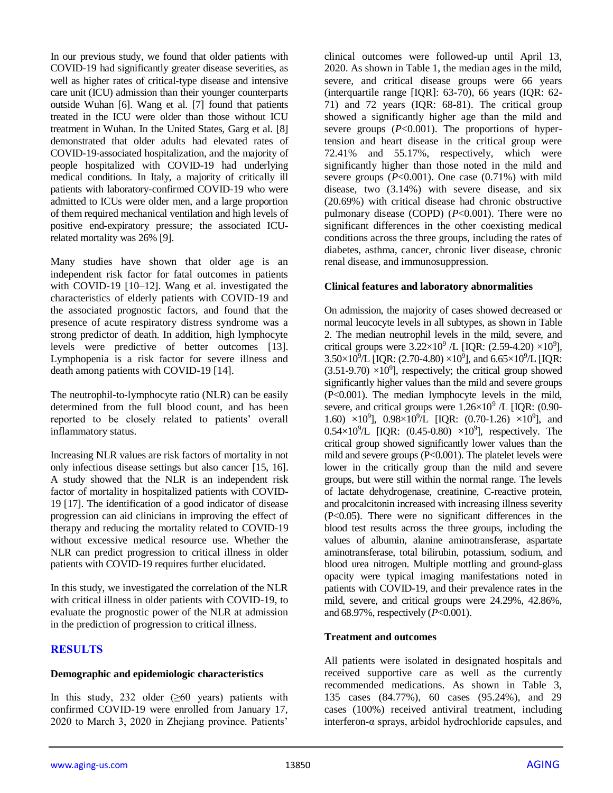In our previous study, we found that older patients with COVID-19 had significantly greater disease severities, as well as higher rates of critical-type disease and intensive care unit (ICU) admission than their younger counterparts outside Wuhan [6]. Wang et al. [7] found that patients treated in the ICU were older than those without ICU treatment in Wuhan. In the United States, Garg et al. [8] demonstrated that older adults had elevated rates of COVID-19-associated hospitalization, and the majority of people hospitalized with COVID-19 had underlying medical conditions. In Italy, a majority of critically ill patients with laboratory-confirmed COVID-19 who were admitted to ICUs were older men, and a large proportion of them required mechanical ventilation and high levels of positive end-expiratory pressure; the associated ICUrelated mortality was 26% [9].

Many studies have shown that older age is an independent risk factor for fatal outcomes in patients with COVID-19 [10–12]. Wang et al. investigated the characteristics of elderly patients with COVID-19 and the associated prognostic factors, and found that the presence of acute respiratory distress syndrome was a strong predictor of death. In addition, high lymphocyte levels were predictive of better outcomes [13]. Lymphopenia is a risk factor for severe illness and death among patients with COVID-19 [14].

The neutrophil-to-lymphocyte ratio (NLR) can be easily determined from the full blood count, and has been reported to be closely related to patients' overall inflammatory status.

Increasing NLR values are risk factors of mortality in not only infectious disease settings but also cancer [15, 16]. A study showed that the NLR is an independent risk factor of mortality in hospitalized patients with COVID-19 [17]. The identification of a good indicator of disease progression can aid clinicians in improving the effect of therapy and reducing the mortality related to COVID-19 without excessive medical resource use. Whether the NLR can predict progression to critical illness in older patients with COVID-19 requires further elucidated.

In this study, we investigated the correlation of the NLR with critical illness in older patients with COVID-19, to evaluate the prognostic power of the NLR at admission in the prediction of progression to critical illness.

# **RESULTS**

#### **Demographic and epidemiologic characteristics**

In this study, 232 older  $(≥60$  years) patients with confirmed COVID-19 were enrolled from January 17, 2020 to March 3, 2020 in Zhejiang province. Patients'

clinical outcomes were followed-up until April 13, 2020. As shown in Table 1, the median ages in the mild, severe, and critical disease groups were 66 years (interquartile range [IQR]: 63-70), 66 years (IQR: 62- 71) and 72 years (IQR: 68-81). The critical group showed a significantly higher age than the mild and severe groups  $(P<0.001)$ . The proportions of hypertension and heart disease in the critical group were 72.41% and 55.17%, respectively, which were significantly higher than those noted in the mild and severe groups  $(P<0.001)$ . One case  $(0.71\%)$  with mild disease, two (3.14%) with severe disease, and six (20.69%) with critical disease had chronic obstructive pulmonary disease (COPD) (*P*<0.001). There were no significant differences in the other coexisting medical conditions across the three groups, including the rates of diabetes, asthma, cancer, chronic liver disease, chronic renal disease, and immunosuppression.

#### **Clinical features and laboratory abnormalities**

On admission, the majority of cases showed decreased or normal leucocyte levels in all subtypes, as shown in Table 2. The median neutrophil levels in the mild, severe, and critical groups were  $3.22 \times 10^9$  /L [IQR: (2.59-4.20)  $\times 10^9$ ],  $3.50\times10^{9}/L$  [IQR: (2.70-4.80)  $\times10^{9}$ ], and  $6.65\times10^{9}/L$  [IQR:  $(3.51-9.70) \times 10^{9}$ ], respectively; the critical group showed significantly higher values than the mild and severe groups (P<0.001). The median lymphocyte levels in the mild, severe, and critical groups were  $1.26 \times 10^9$  /L [IQR: (0.90-1.60)  $\times 10^9$ ],  $0.98 \times 10^9$ /L [IQR: (0.70-1.26)  $\times 10^9$ ], and  $0.54 \times 10^{9}$ /L [IQR: (0.45-0.80)  $\times 10^{9}$ ], respectively. The critical group showed significantly lower values than the mild and severe groups (P<0.001). The platelet levels were lower in the critically group than the mild and severe groups, but were still within the normal range. The levels of lactate dehydrogenase, creatinine, C-reactive protein, and procalcitonin increased with increasing illness severity (P<0.05). There were no significant differences in the blood test results across the three groups, including the values of albumin, alanine aminotransferase, aspartate aminotransferase, total bilirubin, potassium, sodium, and blood urea nitrogen. Multiple mottling and ground-glass opacity were typical imaging manifestations noted in patients with COVID-19, and their prevalence rates in the mild, severe, and critical groups were 24.29%, 42.86%, and 68.97%, respectively (*P*<0.001).

#### **Treatment and outcomes**

All patients were isolated in designated hospitals and received supportive care as well as the currently recommended medications. As shown in Table 3, 135 cases (84.77%), 60 cases (95.24%), and 29 cases (100%) received antiviral treatment, including interferon-α sprays, arbidol hydrochloride capsules, and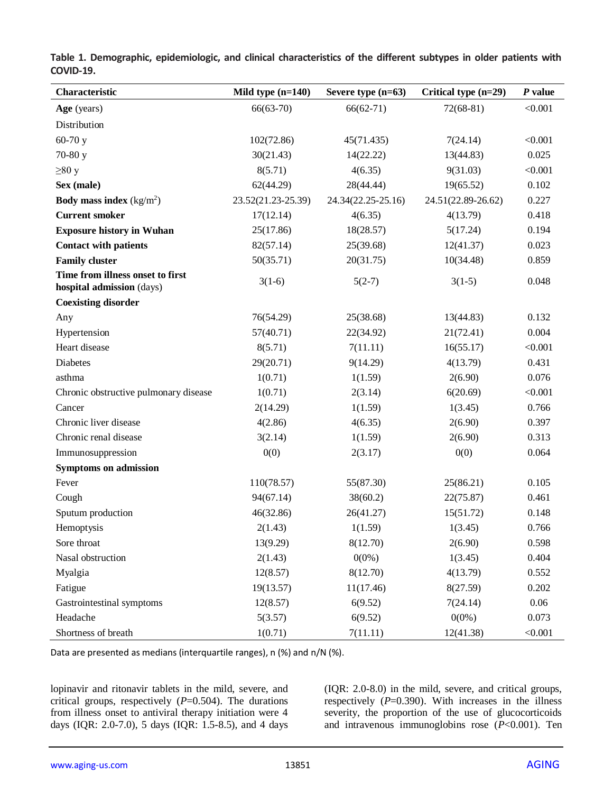| Characteristic                                                | Mild type (n=140)  | Severe type $(n=63)$ | Critical type (n=29) | P value |
|---------------------------------------------------------------|--------------------|----------------------|----------------------|---------|
| Age (years)                                                   | $66(63-70)$        | $66(62-71)$          | $72(68-81)$          | < 0.001 |
| Distribution                                                  |                    |                      |                      |         |
| $60-70y$                                                      | 102(72.86)         | 45(71.435)           | 7(24.14)             | < 0.001 |
| 70-80 y                                                       | 30(21.43)          | 14(22.22)            | 13(44.83)            | 0.025   |
| $\geq 80$ y                                                   | 8(5.71)            | 4(6.35)              | 9(31.03)             | < 0.001 |
| Sex (male)                                                    | 62(44.29)          | 28(44.44)            | 19(65.52)            | 0.102   |
| <b>Body mass index</b> $(kg/m2)$                              | 23.52(21.23-25.39) | 24.34(22.25-25.16)   | 24.51(22.89-26.62)   | 0.227   |
| <b>Current smoker</b>                                         | 17(12.14)          | 4(6.35)              | 4(13.79)             | 0.418   |
| <b>Exposure history in Wuhan</b>                              | 25(17.86)          | 18(28.57)            | 5(17.24)             | 0.194   |
| <b>Contact with patients</b>                                  | 82(57.14)          | 25(39.68)            | 12(41.37)            | 0.023   |
| <b>Family cluster</b>                                         | 50(35.71)          | 20(31.75)            | 10(34.48)            | 0.859   |
| Time from illness onset to first<br>hospital admission (days) | $3(1-6)$           | $5(2-7)$             | $3(1-5)$             | 0.048   |
| <b>Coexisting disorder</b>                                    |                    |                      |                      |         |
| Any                                                           | 76(54.29)          | 25(38.68)            | 13(44.83)            | 0.132   |
| Hypertension                                                  | 57(40.71)          | 22(34.92)            | 21(72.41)            | 0.004   |
| Heart disease                                                 | 8(5.71)            | 7(11.11)             | 16(55.17)            | < 0.001 |
| Diabetes                                                      | 29(20.71)          | 9(14.29)             | 4(13.79)             | 0.431   |
| asthma                                                        | 1(0.71)            | 1(1.59)              | 2(6.90)              | 0.076   |
| Chronic obstructive pulmonary disease                         | 1(0.71)            | 2(3.14)              | 6(20.69)             | < 0.001 |
| Cancer                                                        | 2(14.29)           | 1(1.59)              | 1(3.45)              | 0.766   |
| Chronic liver disease                                         | 4(2.86)            | 4(6.35)              | 2(6.90)              | 0.397   |
| Chronic renal disease                                         | 3(2.14)            | 1(1.59)              | 2(6.90)              | 0.313   |
| Immunosuppression                                             | 0(0)               | 2(3.17)              | 0(0)                 | 0.064   |
| <b>Symptoms on admission</b>                                  |                    |                      |                      |         |
| Fever                                                         | 110(78.57)         | 55(87.30)            | 25(86.21)            | 0.105   |
| Cough                                                         | 94(67.14)          | 38(60.2)             | 22(75.87)            | 0.461   |
| Sputum production                                             | 46(32.86)          | 26(41.27)            | 15(51.72)            | 0.148   |
| Hemoptysis                                                    | 2(1.43)            | 1(1.59)              | 1(3.45)              | 0.766   |
| Sore throat                                                   | 13(9.29)           | 8(12.70)             | 2(6.90)              | 0.598   |
| Nasal obstruction                                             | 2(1.43)            | $0(0\%)$             | 1(3.45)              | 0.404   |
| Myalgia                                                       | 12(8.57)           | 8(12.70)             | 4(13.79)             | 0.552   |
| Fatigue                                                       | 19(13.57)          | 11(17.46)            | 8(27.59)             | 0.202   |
| Gastrointestinal symptoms                                     | 12(8.57)           | 6(9.52)              | 7(24.14)             | 0.06    |
| Headache                                                      | 5(3.57)            | 6(9.52)              | $0(0\%)$             | 0.073   |
| Shortness of breath                                           | 1(0.71)            | 7(11.11)             | 12(41.38)            | < 0.001 |

**Table 1. Demographic, epidemiologic, and clinical characteristics of the different subtypes in older patients with COVID-19.**

Data are presented as medians (interquartile ranges), n (%) and n/N (%).

lopinavir and ritonavir tablets in the mild, severe, and critical groups, respectively (*P*=0.504). The durations from illness onset to antiviral therapy initiation were 4 days (IQR: 2.0-7.0), 5 days (IQR: 1.5-8.5), and 4 days (IQR: 2.0-8.0) in the mild, severe, and critical groups, respectively  $(P=0.390)$ . With increases in the illness severity, the proportion of the use of glucocorticoids and intravenous immunoglobins rose (*P*<0.001). Ten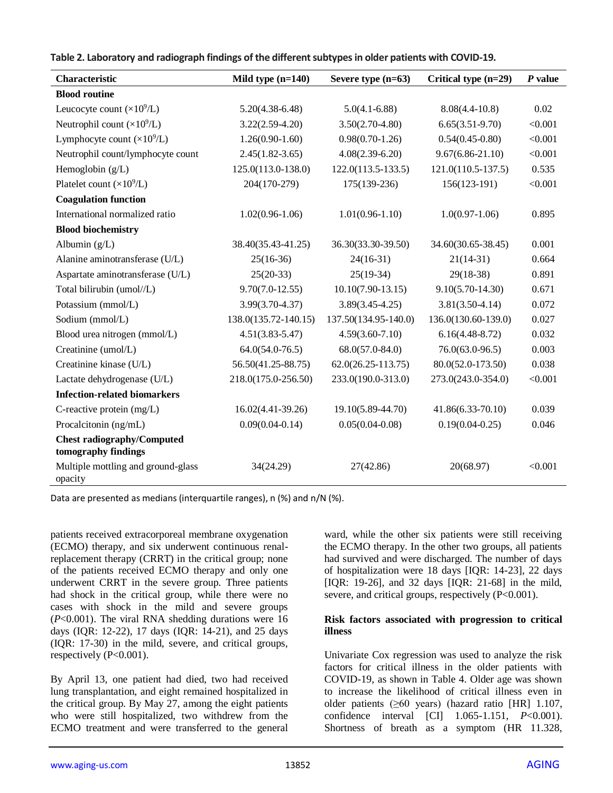| Characteristic                                           | Mild type $(n=140)$  | Severe type $(n=63)$                     | Critical type (n=29) | $P$ value |
|----------------------------------------------------------|----------------------|------------------------------------------|----------------------|-----------|
| <b>Blood routine</b>                                     |                      |                                          |                      |           |
| Leucocyte count $(\times 10^9/L)$                        | $5.20(4.38-6.48)$    | $5.0(4.1 - 6.88)$                        | $8.08(4.4 - 10.8)$   | 0.02      |
| Neutrophil count $(\times 10^9/L)$                       | $3.22(2.59-4.20)$    | $3.50(2.70-4.80)$                        | $6.65(3.51-9.70)$    | < 0.001   |
| Lymphocyte count $(\times 10^9$ /L)                      | $1.26(0.90-1.60)$    | $0.98(0.70-1.26)$                        | $0.54(0.45-0.80)$    | < 0.001   |
| Neutrophil count/lymphocyte count                        | $2.45(1.82 - 3.65)$  | $4.08(2.39-6.20)$                        | $9.67(6.86 - 21.10)$ | < 0.001   |
| Hemoglobin $(g/L)$                                       | 125.0(113.0-138.0)   | $122.0(113.5-133.5)$                     | $121.0(110.5-137.5)$ | 0.535     |
| Platelet count $(\times 10^9$ /L)                        | 204(170-279)         | 175(139-236)                             | 156(123-191)         | < 0.001   |
| <b>Coagulation function</b>                              |                      |                                          |                      |           |
| International normalized ratio                           | $1.02(0.96-1.06)$    | $1.01(0.96-1.10)$                        | $1.0(0.97-1.06)$     | 0.895     |
| <b>Blood biochemistry</b>                                |                      |                                          |                      |           |
| Albumin $(g/L)$                                          | 38.40(35.43-41.25)   | 36.30(33.30-39.50)                       | 34.60(30.65-38.45)   | 0.001     |
| Alanine aminotransferase (U/L)                           | $25(16-36)$          | $24(16-31)$                              |                      | 0.664     |
| Aspartate aminotransferase (U/L)                         | $25(20-33)$          | $25(19-34)$                              | $29(18-38)$          | 0.891     |
| Total bilirubin (umol//L)                                | $9.70(7.0-12.55)$    | $10.10(7.90-13.15)$                      | $9.10(5.70 - 14.30)$ | 0.671     |
| Potassium (mmol/L)                                       | $3.99(3.70-4.37)$    | $3.89(3.45 - 4.25)$                      | $3.81(3.50-4.14)$    | 0.072     |
| Sodium (mmol/L)                                          | 138.0(135.72-140.15) | 137.50(134.95-140.0)                     | 136.0(130.60-139.0)  | 0.027     |
| Blood urea nitrogen (mmol/L)                             | $4.51(3.83 - 5.47)$  | $4.59(3.60 - 7.10)$                      | $6.16(4.48-8.72)$    | 0.032     |
| Creatinine (umol/L)                                      | $64.0(54.0-76.5)$    | $68.0(57.0-84.0)$<br>$76.0(63.0-96.5)$   |                      | 0.003     |
| Creatinine kinase (U/L)                                  | 56.50(41.25-88.75)   | $62.0(26.25 - 113.75)$                   | 80.0(52.0-173.50)    | 0.038     |
| Lactate dehydrogenase (U/L)                              | 218.0(175.0-256.50)  | 233.0(190.0-313.0)<br>273.0(243.0-354.0) |                      | < 0.001   |
| <b>Infection-related biomarkers</b>                      |                      |                                          |                      |           |
| C-reactive protein (mg/L)                                | $16.02(4.41-39.26)$  | 19.10(5.89-44.70)<br>41.86(6.33-70.10)   |                      | 0.039     |
| Procalcitonin (ng/mL)<br>$0.09(0.04 - 0.14)$             |                      | $0.05(0.04 - 0.08)$                      | $0.19(0.04 - 0.25)$  | 0.046     |
| <b>Chest radiography/Computed</b><br>tomography findings |                      |                                          |                      |           |
| Multiple mottling and ground-glass<br>opacity            | 34(24.29)            | 27(42.86)                                | 20(68.97)            | < 0.001   |

#### **Table 2. Laboratory and radiograph findings of the different subtypes in older patients with COVID-19.**

Data are presented as medians (interquartile ranges), n (%) and n/N (%).

patients received extracorporeal membrane oxygenation (ECMO) therapy, and six underwent continuous renalreplacement therapy (CRRT) in the critical group; none of the patients received ECMO therapy and only one underwent CRRT in the severe group. Three patients had shock in the critical group, while there were no cases with shock in the mild and severe groups (*P*<0.001). The viral RNA shedding durations were 16 days (IQR: 12-22), 17 days (IQR: 14-21), and 25 days (IQR: 17-30) in the mild, severe, and critical groups, respectively (P<0.001).

By April 13, one patient had died, two had received lung transplantation, and eight remained hospitalized in the critical group. By May 27, among the eight patients who were still hospitalized, two withdrew from the ECMO treatment and were transferred to the general ward, while the other six patients were still receiving the ECMO therapy. In the other two groups, all patients had survived and were discharged. The number of days of hospitalization were 18 days [IQR: 14-23], 22 days [IQR: 19-26], and 32 days [IQR: 21-68] in the mild, severe, and critical groups, respectively (P<0.001).

#### **Risk factors associated with progression to critical illness**

Univariate Cox regression was used to analyze the risk factors for critical illness in the older patients with COVID-19, as shown in Table 4. Older age was shown to increase the likelihood of critical illness even in older patients (≥60 years) (hazard ratio [HR] 1.107, confidence interval [CI] 1.065-1.151, *P*<0.001). Shortness of breath as a symptom (HR 11.328,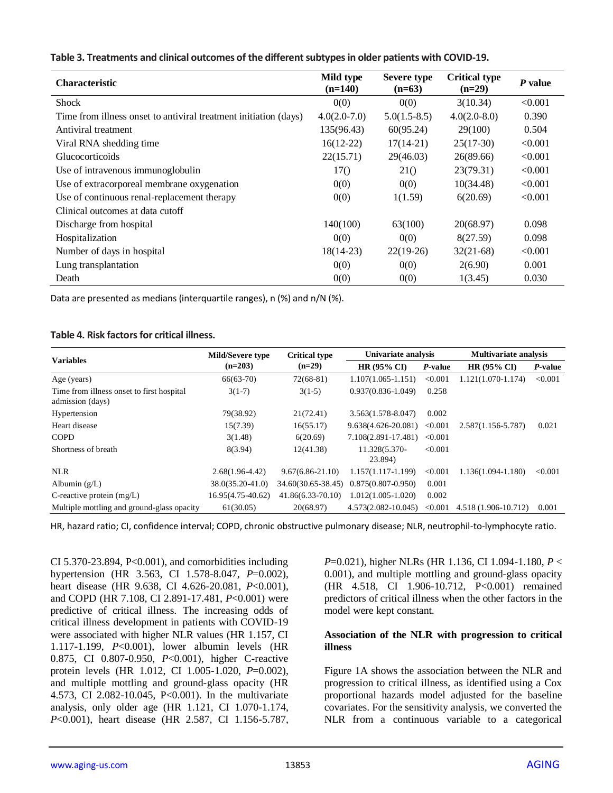|  | Table 3. Treatments and clinical outcomes of the different subtypes in older patients with COVID-19. |  |  |
|--|------------------------------------------------------------------------------------------------------|--|--|
|  |                                                                                                      |  |  |

| <b>Characteristic</b>                                            | Mild type<br>$(n=140)$ | Severe type<br>$(n=63)$ | <b>Critical type</b><br>$(n=29)$ | P value |
|------------------------------------------------------------------|------------------------|-------------------------|----------------------------------|---------|
| <b>Shock</b>                                                     | 0(0)                   | 0(0)                    | 3(10.34)                         | < 0.001 |
| Time from illness onset to antiviral treatment initiation (days) | $4.0(2.0-7.0)$         | $5.0(1.5-8.5)$          | $4.0(2.0-8.0)$                   | 0.390   |
| Antiviral treatment                                              | 135(96.43)             | 60(95.24)               | 29(100)                          | 0.504   |
| Viral RNA shedding time                                          | $16(12-22)$            | $17(14-21)$             | $25(17-30)$                      | < 0.001 |
| <b>Glucocorticoids</b>                                           | 22(15.71)              | 29(46.03)               | 26(89.66)                        | < 0.001 |
| Use of intravenous immunoglobulin                                | 17()                   | 210                     | 23(79.31)                        | < 0.001 |
| Use of extracorporeal membrane oxygenation                       | 0(0)                   | 0(0)                    | 10(34.48)                        | < 0.001 |
| Use of continuous renal-replacement therapy                      | 0(0)                   | 1(1.59)                 | 6(20.69)                         | < 0.001 |
| Clinical outcomes at data cutoff                                 |                        |                         |                                  |         |
| Discharge from hospital                                          | 140(100)               | 63(100)                 | 20(68.97)                        | 0.098   |
| Hospitalization                                                  | 0(0)                   | 0(0)                    | 8(27.59)                         | 0.098   |
| Number of days in hospital                                       | $18(14-23)$            | $22(19-26)$             | $32(21-68)$                      | < 0.001 |
| Lung transplantation                                             | 0(0)                   | 0(0)                    | 2(6.90)                          | 0.001   |
| Death                                                            | 0(0)                   | 0(0)                    | 1(3.45)                          | 0.030   |

Data are presented as medians (interquartile ranges), n (%) and n/N (%).

#### **Table 4. Risk factors for critical illness.**

| <b>Variables</b>                                              | Mild/Severe type  | <b>Critical type</b> | Univariate analysis      |         | <b>Multivariate analysis</b> |         |
|---------------------------------------------------------------|-------------------|----------------------|--------------------------|---------|------------------------------|---------|
|                                                               | $(n=203)$         | $(n=29)$             |                          | P-value | HR (95% CI)                  | P-value |
| Age (years)                                                   | $66(63-70)$       | $72(68-81)$          | $1.107(1.065 - 1.151)$   | < 0.001 | $1.121(1.070-1.174)$         | < 0.001 |
| Time from illness onset to first hospital<br>admission (days) | $3(1-7)$          | $3(1-5)$             | $0.937(0.836 - 1.049)$   | 0.258   |                              |         |
| Hypertension                                                  | 79(38.92)         | 21(72.41)            | $3.563(1.578-8.047)$     | 0.002   |                              |         |
| Heart disease                                                 | 15(7.39)          | 16(55.17)            | 9.638(4.626-20.081)      | < 0.001 | 2.587(1.156-5.787)           | 0.021   |
| <b>COPD</b>                                                   | 3(1.48)           | 6(20.69)             | 7.108(2.891-17.481)      | < 0.001 |                              |         |
| Shortness of breath                                           | 8(3.94)           | 12(41.38)            | 11.328(5.370-<br>23.894) | < 0.001 |                              |         |
| <b>NLR</b>                                                    | $2.68(1.96-4.42)$ | $9.67(6.86 - 21.10)$ | $1.157(1.117-1.199)$     | < 0.001 | $1.136(1.094 - 1.180)$       | < 0.001 |
| Albumin $(g/L)$                                               | 38.0(35.20-41.0)  | 34.60(30.65-38.45)   | $0.875(0.807 - 0.950)$   | 0.001   |                              |         |
| C-reactive protein $(mg/L)$                                   | 16.95(4.75-40.62) | $41.86(6.33-70.10)$  | $1.012(1.005-1.020)$     | 0.002   |                              |         |
| Multiple mottling and ground-glass opacity                    | 61(30.05)         | 20(68.97)            | 4.573(2.082-10.045)      | < 0.001 | 4.518 (1.906-10.712)         | 0.001   |

HR, hazard ratio; CI, confidence interval; COPD, chronic obstructive pulmonary disease; NLR, neutrophil-to-lymphocyte ratio.

CI 5.370-23.894, P<0.001), and comorbidities including hypertension (HR 3.563, CI 1.578-8.047, *P*=0.002), heart disease (HR 9.638, CI 4.626-20.081, *P*<0.001), and COPD (HR 7.108, CI 2.891-17.481, *P*<0.001) were predictive of critical illness. The increasing odds of critical illness development in patients with COVID-19 were associated with higher NLR values (HR 1.157, CI 1.117-1.199, *P*<0.001), lower albumin levels (HR 0.875, CI 0.807-0.950, *P*<0.001), higher C-reactive protein levels (HR 1.012, CI 1.005-1.020, *P*=0.002), and multiple mottling and ground-glass opacity (HR 4.573, CI 2.082-10.045, P<0.001). In the multivariate analysis, only older age (HR 1.121, CI 1.070-1.174, *P*<0.001), heart disease (HR 2.587, CI 1.156-5.787,

*P*=0.021), higher NLRs (HR 1.136, CI 1.094-1.180, *P* < 0.001), and multiple mottling and ground-glass opacity (HR 4.518, CI 1.906-10.712, P<0.001) remained predictors of critical illness when the other factors in the model were kept constant.

#### **Association of the NLR with progression to critical illness**

Figure 1A shows the association between the NLR and progression to critical illness, as identified using a Cox proportional hazards model adjusted for the baseline covariates. For the sensitivity analysis, we converted the NLR from a continuous variable to a categorical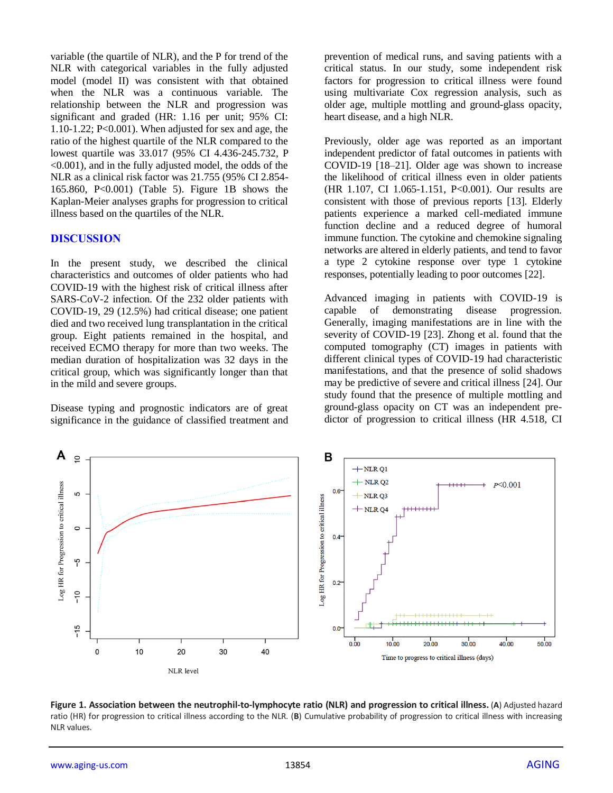variable (the quartile of NLR), and the P for trend of the NLR with categorical variables in the fully adjusted model (model II) was consistent with that obtained when the NLR was a continuous variable. The relationship between the NLR and progression was significant and graded (HR: 1.16 per unit; 95% CI: 1.10-1.22;  $P<0.001$ ). When adjusted for sex and age, the ratio of the highest quartile of the NLR compared to the lowest quartile was 33.017 (95% CI 4.436-245.732, P <0.001), and in the fully adjusted model, the odds of the NLR as a clinical risk factor was 21.755 (95% CI 2.854- 165.860, P<0.001) (Table 5). Figure 1B shows the Kaplan-Meier analyses graphs for progression to critical illness based on the quartiles of the NLR.

#### **DISCUSSION**

In the present study, we described the clinical characteristics and outcomes of older patients who had COVID-19 with the highest risk of critical illness after SARS-CoV-2 infection. Of the 232 older patients with COVID-19, 29 (12.5%) had critical disease; one patient died and two received lung transplantation in the critical group. Eight patients remained in the hospital, and received ECMO therapy for more than two weeks. The median duration of hospitalization was 32 days in the critical group, which was significantly longer than that in the mild and severe groups.

Disease typing and prognostic indicators are of great significance in the guidance of classified treatment and prevention of medical runs, and saving patients with a critical status. In our study, some independent risk factors for progression to critical illness were found using multivariate Cox regression analysis, such as older age, multiple mottling and ground-glass opacity, heart disease, and a high NLR.

Previously, older age was reported as an important independent predictor of fatal outcomes in patients with COVID-19 [18–21]. Older age was shown to increase the likelihood of critical illness even in older patients (HR 1.107, CI 1.065-1.151, P<0.001). Our results are consistent with those of previous reports [13]. Elderly patients experience a marked cell-mediated immune function decline and a reduced degree of humoral immune function. The cytokine and chemokine signaling networks are altered in elderly patients, and tend to favor a type 2 cytokine response over type 1 cytokine responses, potentially leading to poor outcomes [22].

Advanced imaging in patients with COVID-19 is capable of demonstrating disease progression. Generally, imaging manifestations are in line with the severity of COVID-19 [23]. Zhong et al. found that the computed tomography (CT) images in patients with different clinical types of COVID-19 had characteristic manifestations, and that the presence of solid shadows may be predictive of severe and critical illness [24]. Our study found that the presence of multiple mottling and ground-glass opacity on CT was an independent predictor of progression to critical illness (HR 4.518, CI



**Figure 1. Association between the neutrophil-to-lymphocyte ratio (NLR) and progression to critical illness.** (**A**) Adjusted hazard ratio (HR) for progression to critical illness according to the NLR. (**B**) Cumulative probability of progression to critical illness with increasing NLR values.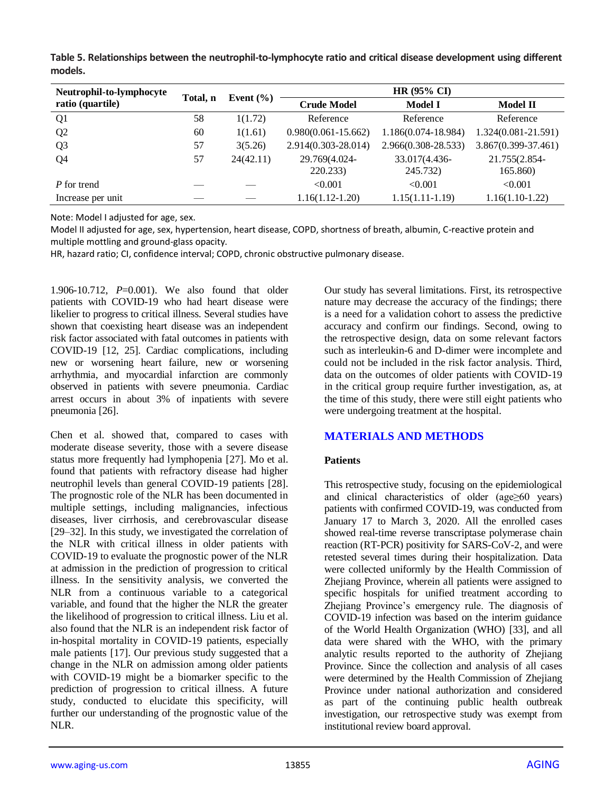**Table 5. Relationships between the neutrophil-to-lymphocyte ratio and critical disease development using different models.**

| Neutrophil-to-lymphocyte | Total, n | Event $(\% )$ | HR $(95\% \text{ CI})$  |                     |                     |  |
|--------------------------|----------|---------------|-------------------------|---------------------|---------------------|--|
| ratio (quartile)         |          |               | <b>Crude Model</b>      | <b>Model I</b>      | <b>Model II</b>     |  |
| Q <sub>1</sub>           | 58       | 1(1.72)       | Reference               | Reference           | Reference           |  |
| Q <sub>2</sub>           | 60       | 1(1.61)       | $0.980(0.061 - 15.662)$ | 1.186(0.074-18.984) | 1.324(0.081-21.591) |  |
| Q <sub>3</sub>           | 57       | 3(5.26)       | 2.914(0.303-28.014)     | 2.966(0.308-28.533) | 3.867(0.399-37.461) |  |
| Q4                       | 57       | 24(42.11)     | 29.769(4.024-           | 33.017(4.436-       | 21.755(2.854-       |  |
|                          |          |               | 220.233)                | 245.732)            | 165.860)            |  |
| P for trend              |          |               | < 0.001                 | < 0.001             | < 0.001             |  |
| Increase per unit        |          |               | $1.16(1.12-1.20)$       | $1.15(1.11-1.19)$   | $1.16(1.10-1.22)$   |  |

Note: Model I adjusted for age, sex.

Model II adjusted for age, sex, hypertension, heart disease, COPD, shortness of breath, albumin, C-reactive protein and multiple mottling and ground-glass opacity.

HR, hazard ratio; CI, confidence interval; COPD, chronic obstructive pulmonary disease.

1.906-10.712, *P*=0.001). We also found that older patients with COVID-19 who had heart disease were likelier to progress to critical illness. Several studies have shown that coexisting heart disease was an independent risk factor associated with fatal outcomes in patients with COVID-19 [12, 25]. Cardiac complications, including new or worsening heart failure, new or worsening arrhythmia, and myocardial infarction are commonly observed in patients with severe pneumonia. Cardiac arrest occurs in about 3% of inpatients with severe pneumonia [26].

Chen et al. showed that, compared to cases with moderate disease severity, those with a severe disease status more frequently had lymphopenia [27]. Mo et al. found that patients with refractory disease had higher neutrophil levels than general COVID-19 patients [28]. The prognostic role of the NLR has been documented in multiple settings, including malignancies, infectious diseases, liver cirrhosis, and cerebrovascular disease [29–32]. In this study, we investigated the correlation of the NLR with critical illness in older patients with COVID-19 to evaluate the prognostic power of the NLR at admission in the prediction of progression to critical illness. In the sensitivity analysis, we converted the NLR from a continuous variable to a categorical variable, and found that the higher the NLR the greater the likelihood of progression to critical illness. Liu et al. also found that the NLR is an independent risk factor of in-hospital mortality in COVID-19 patients, especially male patients [17]. Our previous study suggested that a change in the NLR on admission among older patients with COVID-19 might be a biomarker specific to the prediction of progression to critical illness. A future study, conducted to elucidate this specificity, will further our understanding of the prognostic value of the NLR.

Our study has several limitations. First, its retrospective nature may decrease the accuracy of the findings; there is a need for a validation cohort to assess the predictive accuracy and confirm our findings. Second, owing to the retrospective design, data on some relevant factors such as interleukin-6 and D-dimer were incomplete and could not be included in the risk factor analysis. Third, data on the outcomes of older patients with COVID-19 in the critical group require further investigation, as, at the time of this study, there were still eight patients who were undergoing treatment at the hospital.

# **MATERIALS AND METHODS**

#### **Patients**

This retrospective study, focusing on the epidemiological and clinical characteristics of older (age≥60 years) patients with confirmed COVID-19, was conducted from January 17 to March 3, 2020. All the enrolled cases showed real-time reverse transcriptase polymerase chain reaction (RT-PCR) positivity for SARS-CoV-2, and were retested several times during their hospitalization. Data were collected uniformly by the Health Commission of Zhejiang Province, wherein all patients were assigned to specific hospitals for unified treatment according to Zhejiang Province's emergency rule. The diagnosis of COVID-19 infection was based on the interim guidance of the World Health Organization (WHO) [33], and all data were shared with the WHO, with the primary analytic results reported to the authority of Zhejiang Province. Since the collection and analysis of all cases were determined by the Health Commission of Zhejiang Province under national authorization and considered as part of the continuing public health outbreak investigation, our retrospective study was exempt from institutional review board approval.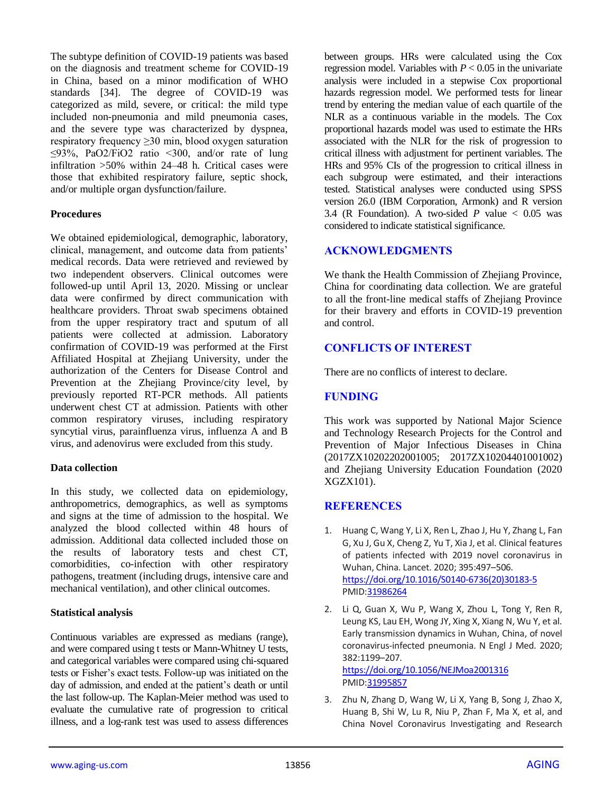The subtype definition of COVID-19 patients was based on the diagnosis and treatment scheme for COVID-19 in China, based on a minor modification of WHO standards [34]. The degree of COVID-19 was categorized as mild, severe, or critical: the mild type included non-pneumonia and mild pneumonia cases, and the severe type was characterized by dyspnea, respiratory frequency ≥30 min, blood oxygen saturation  $\leq$ 93%, PaO2/FiO2 ratio  $\leq$ 300, and/or rate of lung infiltration >50% within 24–48 h. Critical cases were those that exhibited respiratory failure, septic shock, and/or multiple organ dysfunction/failure.

#### **Procedures**

We obtained epidemiological, demographic, laboratory, clinical, management, and outcome data from patients' medical records. Data were retrieved and reviewed by two independent observers. Clinical outcomes were followed-up until April 13, 2020. Missing or unclear data were confirmed by direct communication with healthcare providers. Throat swab specimens obtained from the upper respiratory tract and sputum of all patients were collected at admission. Laboratory confirmation of COVID-19 was performed at the First Affiliated Hospital at Zhejiang University, under the authorization of the Centers for Disease Control and Prevention at the Zhejiang Province/city level, by previously reported RT-PCR methods. All patients underwent chest CT at admission. Patients with other common respiratory viruses, including respiratory syncytial virus, parainfluenza virus, influenza A and B virus, and adenovirus were excluded from this study.

#### **Data collection**

In this study, we collected data on epidemiology, anthropometrics, demographics, as well as symptoms and signs at the time of admission to the hospital. We analyzed the blood collected within 48 hours of admission. Additional data collected included those on the results of laboratory tests and chest CT, comorbidities, co-infection with other respiratory pathogens, treatment (including drugs, intensive care and mechanical ventilation), and other clinical outcomes.

#### **Statistical analysis**

Continuous variables are expressed as medians (range), and were compared using t tests or Mann-Whitney U tests, and categorical variables were compared using chi-squared tests or Fisher's exact tests. Follow-up was initiated on the day of admission, and ended at the patient's death or until the last follow-up. The Kaplan-Meier method was used to evaluate the cumulative rate of progression to critical illness, and a log-rank test was used to assess differences

between groups. HRs were calculated using the Cox regression model. Variables with  $P < 0.05$  in the univariate analysis were included in a stepwise Cox proportional hazards regression model. We performed tests for linear trend by entering the median value of each quartile of the NLR as a continuous variable in the models. The Cox proportional hazards model was used to estimate the HRs associated with the NLR for the risk of progression to critical illness with adjustment for pertinent variables. The HRs and 95% CIs of the progression to critical illness in each subgroup were estimated, and their interactions tested. Statistical analyses were conducted using SPSS version 26.0 (IBM Corporation, Armonk) and R version 3.4 (R Foundation). A two-sided  $P$  value  $< 0.05$  was considered to indicate statistical significance.

# **ACKNOWLEDGMENTS**

We thank the Health Commission of Zhejiang Province, China for coordinating data collection. We are grateful to all the front-line medical staffs of Zhejiang Province for their bravery and efforts in COVID-19 prevention and control.

# **CONFLICTS OF INTEREST**

There are no conflicts of interest to declare.

# **FUNDING**

This work was supported by National Major Science and Technology Research Projects for the Control and Prevention of Major Infectious Diseases in China (2017ZX10202202001005; 2017ZX10204401001002) and Zhejiang University Education Foundation (2020 XGZX101).

# **REFERENCES**

- 1. Huang C, Wang Y, Li X, Ren L, Zhao J, Hu Y, Zhang L, Fan G, Xu J, Gu X, Cheng Z, Yu T, Xia J, et al. Clinical features of patients infected with 2019 novel coronavirus in Wuhan, China. Lancet. 2020; 395:497–506. [https://doi.org/10.1016/S0140-6736\(20\)30183-5](https://doi.org/10.1016/S0140-6736(20)30183-5) PMI[D:31986264](https://pubmed.ncbi.nlm.nih.gov/31986264)
- 2. Li Q, Guan X, Wu P, Wang X, Zhou L, Tong Y, Ren R, Leung KS, Lau EH, Wong JY, Xing X, Xiang N, Wu Y, et al. Early transmission dynamics in Wuhan, China, of novel coronavirus-infected pneumonia. N Engl J Med. 2020; 382:1199–207. <https://doi.org/10.1056/NEJMoa2001316>
	- PMI[D:31995857](https://pubmed.ncbi.nlm.nih.gov/31995857)
- 3. Zhu N, Zhang D, Wang W, Li X, Yang B, Song J, Zhao X, Huang B, Shi W, Lu R, Niu P, Zhan F, Ma X, et al, and China Novel Coronavirus Investigating and Research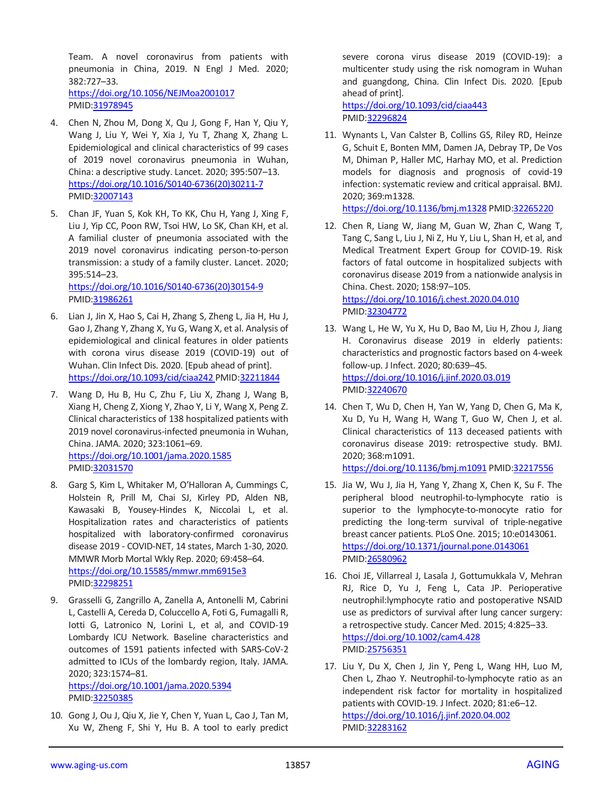Team. A novel coronavirus from patients with pneumonia in China, 2019. N Engl J Med. 2020; 382:727–33. <https://doi.org/10.1056/NEJMoa2001017> PMID[:31978945](https://pubmed.ncbi.nlm.nih.gov/31978945)

- 4. Chen N, Zhou M, Dong X, Qu J, Gong F, Han Y, Qiu Y, Wang J, Liu Y, Wei Y, Xia J, Yu T, Zhang X, Zhang L. Epidemiological and clinical characteristics of 99 cases of 2019 novel coronavirus pneumonia in Wuhan, China: a descriptive study. Lancet. 2020; 395:507–13. [https://doi.org/10.1016/S0140-6736\(20\)30211-7](https://doi.org/10.1016/S0140-6736(20)30211-7) PMID[:32007143](https://pubmed.ncbi.nlm.nih.gov/32007143)
- 5. Chan JF, Yuan S, Kok KH, To KK, Chu H, Yang J, Xing F, Liu J, Yip CC, Poon RW, Tsoi HW, Lo SK, Chan KH, et al. A familial cluster of pneumonia associated with the 2019 novel coronavirus indicating person-to-person transmission: a study of a family cluster. Lancet. 2020; 395:514–23.

[https://doi.org/10.1016/S0140-6736\(20\)30154-9](https://doi.org/10.1016/S0140-6736(20)30154-9) PMID[:31986261](https://pubmed.ncbi.nlm.nih.gov/31986261)

- 6. Lian J, Jin X, Hao S, Cai H, Zhang S, Zheng L, Jia H, Hu J, Gao J, Zhang Y, Zhang X, Yu G, Wang X, et al. Analysis of epidemiological and clinical features in older patients with corona virus disease 2019 (COVID-19) out of Wuhan. Clin Infect Dis. 2020. [Epub ahead of print]. <https://doi.org/10.1093/cid/ciaa242> PMI[D:32211844](https://pubmed.ncbi.nlm.nih.gov/32211844)
- 7. Wang D, Hu B, Hu C, Zhu F, Liu X, Zhang J, Wang B, Xiang H, Cheng Z, Xiong Y, Zhao Y, Li Y, Wang X, Peng Z. Clinical characteristics of 138 hospitalized patients with 2019 novel coronavirus-infected pneumonia in Wuhan, China. JAMA. 2020; 323:1061–69. <https://doi.org/10.1001/jama.2020.1585> PMID[:32031570](https://pubmed.ncbi.nlm.nih.gov/32031570)
- 8. Garg S, Kim L, Whitaker M, O'Halloran A, Cummings C, Holstein R, Prill M, Chai SJ, Kirley PD, Alden NB, Kawasaki B, Yousey-Hindes K, Niccolai L, et al. Hospitalization rates and characteristics of patients hospitalized with laboratory-confirmed coronavirus disease 2019 - COVID-NET, 14 states, March 1-30, 2020. MMWR Morb Mortal Wkly Rep. 2020; 69:458–64. <https://doi.org/10.15585/mmwr.mm6915e3> PMID[:32298251](https://pubmed.ncbi.nlm.nih.gov/32298251)
- 9. Grasselli G, Zangrillo A, Zanella A, Antonelli M, Cabrini L, Castelli A, Cereda D, Coluccello A, Foti G, Fumagalli R, Iotti G, Latronico N, Lorini L, et al, and COVID-19 Lombardy ICU Network. Baseline characteristics and outcomes of 1591 patients infected with SARS-CoV-2 admitted to ICUs of the lombardy region, Italy. JAMA. 2020; 323:1574–81.

<https://doi.org/10.1001/jama.2020.5394> PMID[:32250385](https://pubmed.ncbi.nlm.nih.gov/32250385)

10. Gong J, Ou J, Qiu X, Jie Y, Chen Y, Yuan L, Cao J, Tan M, Xu W, Zheng F, Shi Y, Hu B. A tool to early predict severe corona virus disease 2019 (COVID-19): a multicenter study using the risk nomogram in Wuhan and guangdong, China. Clin Infect Dis. 2020. [Epub ahead of print].

<https://doi.org/10.1093/cid/ciaa443> PMI[D:32296824](https://pubmed.ncbi.nlm.nih.gov/32296824)

- 11. Wynants L, Van Calster B, Collins GS, Riley RD, Heinze G, Schuit E, Bonten MM, Damen JA, Debray TP, De Vos M, Dhiman P, Haller MC, Harhay MO, et al. Prediction models for diagnosis and prognosis of covid-19 infection: systematic review and critical appraisal. BMJ. 2020; 369:m1328. <https://doi.org/10.1136/bmj.m1328> PMID[:32265220](https://pubmed.ncbi.nlm.nih.gov/32265220)
- 12. Chen R, Liang W, Jiang M, Guan W, Zhan C, Wang T, Tang C, Sang L, Liu J, Ni Z, Hu Y, Liu L, Shan H, et al, and Medical Treatment Expert Group for COVID-19. Risk factors of fatal outcome in hospitalized subjects with coronavirus disease 2019 from a nationwide analysis in China. Chest. 2020; 158:97–105. <https://doi.org/10.1016/j.chest.2020.04.010> PMI[D:32304772](https://pubmed.ncbi.nlm.nih.gov/32304772)
- 13. Wang L, He W, Yu X, Hu D, Bao M, Liu H, Zhou J, Jiang H. Coronavirus disease 2019 in elderly patients: characteristics and prognostic factors based on 4-week follow-up. J Infect. 2020; 80:639–45. <https://doi.org/10.1016/j.jinf.2020.03.019> PMI[D:32240670](https://pubmed.ncbi.nlm.nih.gov/32240670)
- 14. Chen T, Wu D, Chen H, Yan W, Yang D, Chen G, Ma K, Xu D, Yu H, Wang H, Wang T, Guo W, Chen J, et al. Clinical characteristics of 113 deceased patients with coronavirus disease 2019: retrospective study. BMJ. 2020; 368:m1091.

<https://doi.org/10.1136/bmj.m1091> PMID[:32217556](https://pubmed.ncbi.nlm.nih.gov/32217556)

- 15. Jia W, Wu J, Jia H, Yang Y, Zhang X, Chen K, Su F. The peripheral blood neutrophil-to-lymphocyte ratio is superior to the lymphocyte-to-monocyte ratio for predicting the long-term survival of triple-negative breast cancer patients. PLoS One. 2015; 10:e0143061. <https://doi.org/10.1371/journal.pone.0143061> PMI[D:26580962](https://pubmed.ncbi.nlm.nih.gov/26580962)
- 16. Choi JE, Villarreal J, Lasala J, Gottumukkala V, Mehran RJ, Rice D, Yu J, Feng L, Cata JP. Perioperative neutrophil:lymphocyte ratio and postoperative NSAID use as predictors of survival after lung cancer surgery: a retrospective study. Cancer Med. 2015; 4:825–33. <https://doi.org/10.1002/cam4.428> PMI[D:25756351](https://pubmed.ncbi.nlm.nih.gov/25756351)
- 17. Liu Y, Du X, Chen J, Jin Y, Peng L, Wang HH, Luo M, Chen L, Zhao Y. Neutrophil-to-lymphocyte ratio as an independent risk factor for mortality in hospitalized patients with COVID-19. J Infect. 2020; 81:e6–12. <https://doi.org/10.1016/j.jinf.2020.04.002> PMI[D:32283162](https://pubmed.ncbi.nlm.nih.gov/32283162)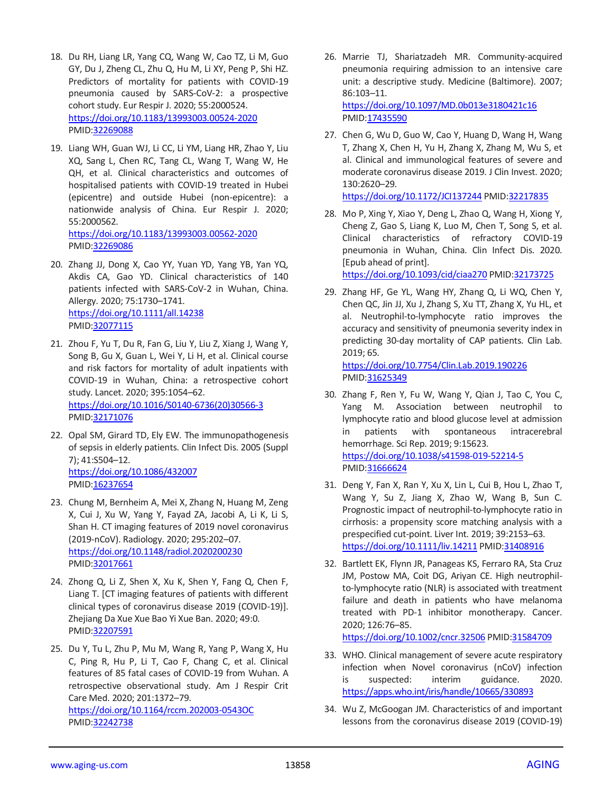- 18. Du RH, Liang LR, Yang CQ, Wang W, Cao TZ, Li M, Guo GY, Du J, Zheng CL, Zhu Q, Hu M, Li XY, Peng P, Shi HZ. Predictors of mortality for patients with COVID-19 pneumonia caused by SARS-CoV-2: a prospective cohort study. Eur Respir J. 2020; 55:2000524. <https://doi.org/10.1183/13993003.00524-2020> PMID[:32269088](https://pubmed.ncbi.nlm.nih.gov/32269088)
- 19. Liang WH, Guan WJ, Li CC, Li YM, Liang HR, Zhao Y, Liu XQ, Sang L, Chen RC, Tang CL, Wang T, Wang W, He QH, et al. Clinical characteristics and outcomes of hospitalised patients with COVID-19 treated in Hubei (epicentre) and outside Hubei (non-epicentre): a nationwide analysis of China. Eur Respir J. 2020; 55:2000562. <https://doi.org/10.1183/13993003.00562-2020> PMID[:32269086](https://pubmed.ncbi.nlm.nih.gov/32269086)
- 20. Zhang JJ, Dong X, Cao YY, Yuan YD, Yang YB, Yan YQ, Akdis CA, Gao YD. Clinical characteristics of 140 patients infected with SARS-CoV-2 in Wuhan, China. Allergy. 2020; 75:1730–1741. <https://doi.org/10.1111/all.14238> PMID[:32077115](https://pubmed.ncbi.nlm.nih.gov/32077115)
- 21. Zhou F, Yu T, Du R, Fan G, Liu Y, Liu Z, Xiang J, Wang Y, Song B, Gu X, Guan L, Wei Y, Li H, et al. Clinical course and risk factors for mortality of adult inpatients with COVID-19 in Wuhan, China: a retrospective cohort study. Lancet. 2020; 395:1054–62. [https://doi.org/10.1016/S0140-6736\(20\)30566-3](https://doi.org/10.1016/S0140-6736(20)30566-3) PMID[:32171076](https://pubmed.ncbi.nlm.nih.gov/32171076)
- 22. Opal SM, Girard TD, Ely EW. The immunopathogenesis of sepsis in elderly patients. Clin Infect Dis. 2005 (Suppl 7); 41:S504–12. <https://doi.org/10.1086/432007> PMID[:16237654](https://pubmed.ncbi.nlm.nih.gov/16237654)
- 23. Chung M, Bernheim A, Mei X, Zhang N, Huang M, Zeng X, Cui J, Xu W, Yang Y, Fayad ZA, Jacobi A, Li K, Li S, Shan H. CT imaging features of 2019 novel coronavirus (2019-nCoV). Radiology. 2020; 295:202–07. <https://doi.org/10.1148/radiol.2020200230> PMID[:32017661](https://pubmed.ncbi.nlm.nih.gov/32017661)
- 24. Zhong Q, Li Z, Shen X, Xu K, Shen Y, Fang Q, Chen F, Liang T. [CT imaging features of patients with different clinical types of coronavirus disease 2019 (COVID-19)]. Zhejiang Da Xue Xue Bao Yi Xue Ban. 2020; 49:0. PMID[:32207591](https://pubmed.ncbi.nlm.nih.gov/32207591)
- 25. Du Y, Tu L, Zhu P, Mu M, Wang R, Yang P, Wang X, Hu C, Ping R, Hu P, Li T, Cao F, Chang C, et al. Clinical features of 85 fatal cases of COVID-19 from Wuhan. A retrospective observational study. Am J Respir Crit Care Med. 2020; 201:1372–79. <https://doi.org/10.1164/rccm.202003-0543OC> PMID[:32242738](https://pubmed.ncbi.nlm.nih.gov/32242738)
- 26. Marrie TJ, Shariatzadeh MR. Community-acquired pneumonia requiring admission to an intensive care unit: a descriptive study. Medicine (Baltimore). 2007; 86:103–11. <https://doi.org/10.1097/MD.0b013e3180421c16> PMI[D:17435590](https://pubmed.ncbi.nlm.nih.gov/17435590)
- 27. Chen G, Wu D, Guo W, Cao Y, Huang D, Wang H, Wang T, Zhang X, Chen H, Yu H, Zhang X, Zhang M, Wu S, et al. Clinical and immunological features of severe and moderate coronavirus disease 2019. J Clin Invest. 2020; 130:2620–29.

<https://doi.org/10.1172/JCI137244> PMID[:32217835](https://pubmed.ncbi.nlm.nih.gov/32217835)

28. Mo P, Xing Y, Xiao Y, Deng L, Zhao Q, Wang H, Xiong Y, Cheng Z, Gao S, Liang K, Luo M, Chen T, Song S, et al. Clinical characteristics of refractory COVID-19 pneumonia in Wuhan, China. Clin Infect Dis. 2020. [Epub ahead of print]. <https://doi.org/10.1093/cid/ciaa270> PMID[:32173725](https://pubmed.ncbi.nlm.nih.gov/32173725)

29. Zhang HF, Ge YL, Wang HY, Zhang Q, Li WQ, Chen Y, Chen QC, Jin JJ, Xu J, Zhang S, Xu TT, Zhang X, Yu HL, et al. Neutrophil-to-lymphocyte ratio improves the accuracy and sensitivity of pneumonia severity index in predicting 30-day mortality of CAP patients. Clin Lab.

2019; 65. <https://doi.org/10.7754/Clin.Lab.2019.190226> PMI[D:31625349](https://pubmed.ncbi.nlm.nih.gov/31625349)

- 30. Zhang F, Ren Y, Fu W, Wang Y, Qian J, Tao C, You C, Yang M. Association between neutrophil to lymphocyte ratio and blood glucose level at admission in patients with spontaneous intracerebral hemorrhage. Sci Rep. 2019; 9:15623. <https://doi.org/10.1038/s41598-019-52214-5> PMI[D:31666624](https://pubmed.ncbi.nlm.nih.gov/31666624)
- 31. Deng Y, Fan X, Ran Y, Xu X, Lin L, Cui B, Hou L, Zhao T, Wang Y, Su Z, Jiang X, Zhao W, Wang B, Sun C. Prognostic impact of neutrophil-to-lymphocyte ratio in cirrhosis: a propensity score matching analysis with a prespecified cut-point. Liver Int. 2019; 39:2153–63. <https://doi.org/10.1111/liv.14211> PMI[D:31408916](https://pubmed.ncbi.nlm.nih.gov/31408916)
- 32. Bartlett EK, Flynn JR, Panageas KS, Ferraro RA, Sta Cruz JM, Postow MA, Coit DG, Ariyan CE. High neutrophilto-lymphocyte ratio (NLR) is associated with treatment failure and death in patients who have melanoma treated with PD-1 inhibitor monotherapy. Cancer. 2020; 126:76–85.

<https://doi.org/10.1002/cncr.32506> PMI[D:31584709](https://pubmed.ncbi.nlm.nih.gov/31584709)

- 33. WHO. Clinical management of severe acute respiratory infection when Novel coronavirus (nCoV) infection is suspected: interim guidance. 2020. <https://apps.who.int/iris/handle/10665/330893>
- 34. Wu Z, McGoogan JM. Characteristics of and important lessons from the coronavirus disease 2019 (COVID-19)